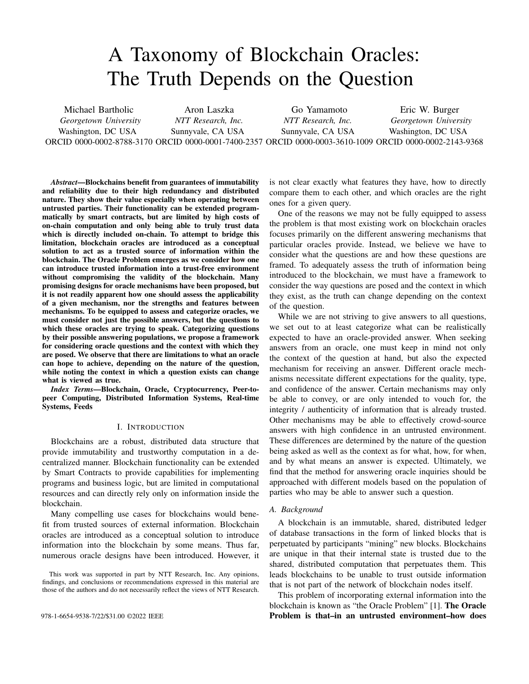# A Taxonomy of Blockchain Oracles: The Truth Depends on the Question

Michael Bartholic *Georgetown University* Washington, DC USA ORCID 0000-0002-8788-3170 ORCID 0000-0001-7400-2357 ORCID 0000-0003-3610-1009 ORCID 0000-0002-2143-9368 Aron Laszka *NTT Research, Inc.* Sunnyvale, CA USA Go Yamamoto *NTT Research, Inc.* Sunnyvale, CA USA Eric W. Burger *Georgetown University* Washington, DC USA

*Abstract*—Blockchains benefit from guarantees of immutability and reliability due to their high redundancy and distributed nature. They show their value especially when operating between untrusted parties. Their functionality can be extended programmatically by smart contracts, but are limited by high costs of on-chain computation and only being able to truly trust data which is directly included on-chain. To attempt to bridge this limitation, blockchain oracles are introduced as a conceptual solution to act as a trusted source of information within the blockchain. The Oracle Problem emerges as we consider how one can introduce trusted information into a trust-free environment without compromising the validity of the blockchain. Many promising designs for oracle mechanisms have been proposed, but it is not readily apparent how one should assess the applicability of a given mechanism, nor the strengths and features between mechanisms. To be equipped to assess and categorize oracles, we must consider not just the possible answers, but the questions to which these oracles are trying to speak. Categorizing questions by their possible answering populations, we propose a framework for considering oracle questions and the context with which they are posed. We observe that there are limitations to what an oracle can hope to achieve, depending on the nature of the question, while noting the context in which a question exists can change what is viewed as true.

*Index Terms*—Blockchain, Oracle, Cryptocurrency, Peer-topeer Computing, Distributed Information Systems, Real-time Systems, Feeds

## I. INTRODUCTION

Blockchains are a robust, distributed data structure that provide immutability and trustworthy computation in a decentralized manner. Blockchain functionality can be extended by Smart Contracts to provide capabilities for implementing programs and business logic, but are limited in computational resources and can directly rely only on information inside the blockchain.

Many compelling use cases for blockchains would benefit from trusted sources of external information. Blockchain oracles are introduced as a conceptual solution to introduce information into the blockchain by some means. Thus far, numerous oracle designs have been introduced. However, it

This work was supported in part by NTT Research, Inc. Any opinions, findings, and conclusions or recommendations expressed in this material are those of the authors and do not necessarily reflect the views of NTT Research. is not clear exactly what features they have, how to directly compare them to each other, and which oracles are the right ones for a given query.

One of the reasons we may not be fully equipped to assess the problem is that most existing work on blockchain oracles focuses primarily on the different answering mechanisms that particular oracles provide. Instead, we believe we have to consider what the questions are and how these questions are framed. To adequately assess the truth of information being introduced to the blockchain, we must have a framework to consider the way questions are posed and the context in which they exist, as the truth can change depending on the context of the question.

While we are not striving to give answers to all questions, we set out to at least categorize what can be realistically expected to have an oracle-provided answer. When seeking answers from an oracle, one must keep in mind not only the context of the question at hand, but also the expected mechanism for receiving an answer. Different oracle mechanisms necessitate different expectations for the quality, type, and confidence of the answer. Certain mechanisms may only be able to convey, or are only intended to vouch for, the integrity / authenticity of information that is already trusted. Other mechanisms may be able to effectively crowd-source answers with high confidence in an untrusted environment. These differences are determined by the nature of the question being asked as well as the context as for what, how, for when, and by what means an answer is expected. Ultimately, we find that the method for answering oracle inquiries should be approached with different models based on the population of parties who may be able to answer such a question.

#### *A. Background*

A blockchain is an immutable, shared, distributed ledger of database transactions in the form of linked blocks that is perpetuated by participants "mining" new blocks. Blockchains are unique in that their internal state is trusted due to the shared, distributed computation that perpetuates them. This leads blockchains to be unable to trust outside information that is not part of the network of blockchain nodes itself.

This problem of incorporating external information into the blockchain is known as "the Oracle Problem" [1]. The Oracle 978-1-6654-9538-7/22/\$31.00 ©2022 IEEE **Problem is that–in an untrusted environment–how does**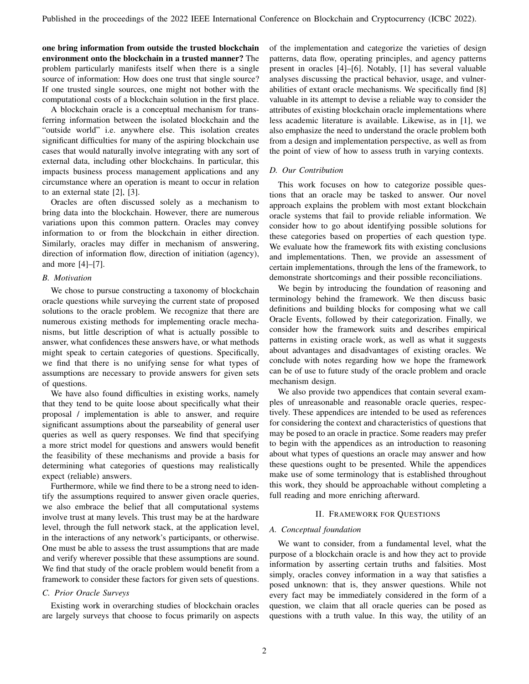one bring information from outside the trusted blockchain environment onto the blockchain in a trusted manner? The problem particularly manifests itself when there is a single source of information: How does one trust that single source? If one trusted single sources, one might not bother with the computational costs of a blockchain solution in the first place.

A blockchain oracle is a conceptual mechanism for transferring information between the isolated blockchain and the "outside world" i.e. anywhere else. This isolation creates significant difficulties for many of the aspiring blockchain use cases that would naturally involve integrating with any sort of external data, including other blockchains. In particular, this impacts business process management applications and any circumstance where an operation is meant to occur in relation to an external state [2], [3].

Oracles are often discussed solely as a mechanism to bring data into the blockchain. However, there are numerous variations upon this common pattern. Oracles may convey information to or from the blockchain in either direction. Similarly, oracles may differ in mechanism of answering, direction of information flow, direction of initiation (agency), and more [4]–[7].

## *B. Motivation*

We chose to pursue constructing a taxonomy of blockchain oracle questions while surveying the current state of proposed solutions to the oracle problem. We recognize that there are numerous existing methods for implementing oracle mechanisms, but little description of what is actually possible to answer, what confidences these answers have, or what methods might speak to certain categories of questions. Specifically, we find that there is no unifying sense for what types of assumptions are necessary to provide answers for given sets of questions.

We have also found difficulties in existing works, namely that they tend to be quite loose about specifically what their proposal / implementation is able to answer, and require significant assumptions about the parseability of general user queries as well as query responses. We find that specifying a more strict model for questions and answers would benefit the feasibility of these mechanisms and provide a basis for determining what categories of questions may realistically expect (reliable) answers.

Furthermore, while we find there to be a strong need to identify the assumptions required to answer given oracle queries, we also embrace the belief that all computational systems involve trust at many levels. This trust may be at the hardware level, through the full network stack, at the application level, in the interactions of any network's participants, or otherwise. One must be able to assess the trust assumptions that are made and verify wherever possible that these assumptions are sound. We find that study of the oracle problem would benefit from a framework to consider these factors for given sets of questions.

# *C. Prior Oracle Surveys*

Existing work in overarching studies of blockchain oracles are largely surveys that choose to focus primarily on aspects of the implementation and categorize the varieties of design patterns, data flow, operating principles, and agency patterns present in oracles [4]–[6]. Notably, [1] has several valuable analyses discussing the practical behavior, usage, and vulnerabilities of extant oracle mechanisms. We specifically find [8] valuable in its attempt to devise a reliable way to consider the attributes of existing blockchain oracle implementations where less academic literature is available. Likewise, as in [1], we also emphasize the need to understand the oracle problem both from a design and implementation perspective, as well as from the point of view of how to assess truth in varying contexts.

## *D. Our Contribution*

This work focuses on how to categorize possible questions that an oracle may be tasked to answer. Our novel approach explains the problem with most extant blockchain oracle systems that fail to provide reliable information. We consider how to go about identifying possible solutions for these categories based on properties of each question type. We evaluate how the framework fits with existing conclusions and implementations. Then, we provide an assessment of certain implementations, through the lens of the framework, to demonstrate shortcomings and their possible reconciliations.

We begin by introducing the foundation of reasoning and terminology behind the framework. We then discuss basic definitions and building blocks for composing what we call Oracle Events, followed by their categorization. Finally, we consider how the framework suits and describes empirical patterns in existing oracle work, as well as what it suggests about advantages and disadvantages of existing oracles. We conclude with notes regarding how we hope the framework can be of use to future study of the oracle problem and oracle mechanism design.

We also provide two appendices that contain several examples of unreasonable and reasonable oracle queries, respectively. These appendices are intended to be used as references for considering the context and characteristics of questions that may be posed to an oracle in practice. Some readers may prefer to begin with the appendices as an introduction to reasoning about what types of questions an oracle may answer and how these questions ought to be presented. While the appendices make use of some terminology that is established throughout this work, they should be approachable without completing a full reading and more enriching afterward.

## II. FRAMEWORK FOR QUESTIONS

# *A. Conceptual foundation*

We want to consider, from a fundamental level, what the purpose of a blockchain oracle is and how they act to provide information by asserting certain truths and falsities. Most simply, oracles convey information in a way that satisfies a posed unknown: that is, they answer questions. While not every fact may be immediately considered in the form of a question, we claim that all oracle queries can be posed as questions with a truth value. In this way, the utility of an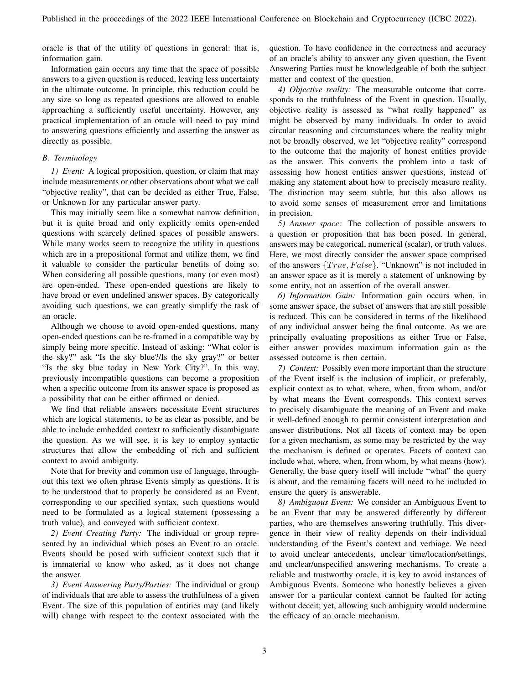oracle is that of the utility of questions in general: that is, information gain.

Information gain occurs any time that the space of possible answers to a given question is reduced, leaving less uncertainty in the ultimate outcome. In principle, this reduction could be any size so long as repeated questions are allowed to enable approaching a sufficiently useful uncertainty. However, any practical implementation of an oracle will need to pay mind to answering questions efficiently and asserting the answer as directly as possible.

# *B. Terminology*

*1) Event:* A logical proposition, question, or claim that may include measurements or other observations about what we call "objective reality", that can be decided as either True, False, or Unknown for any particular answer party.

This may initially seem like a somewhat narrow definition, but it is quite broad and only explicitly omits open-ended questions with scarcely defined spaces of possible answers. While many works seem to recognize the utility in questions which are in a propositional format and utilize them, we find it valuable to consider the particular benefits of doing so. When considering all possible questions, many (or even most) are open-ended. These open-ended questions are likely to have broad or even undefined answer spaces. By categorically avoiding such questions, we can greatly simplify the task of an oracle.

Although we choose to avoid open-ended questions, many open-ended questions can be re-framed in a compatible way by simply being more specific. Instead of asking: "What color is the sky?" ask "Is the sky blue?/Is the sky gray?" or better "Is the sky blue today in New York City?". In this way, previously incompatible questions can become a proposition when a specific outcome from its answer space is proposed as a possibility that can be either affirmed or denied.

We find that reliable answers necessitate Event structures which are logical statements, to be as clear as possible, and be able to include embedded context to sufficiently disambiguate the question. As we will see, it is key to employ syntactic structures that allow the embedding of rich and sufficient context to avoid ambiguity.

Note that for brevity and common use of language, throughout this text we often phrase Events simply as questions. It is to be understood that to properly be considered as an Event, corresponding to our specified syntax, such questions would need to be formulated as a logical statement (possessing a truth value), and conveyed with sufficient context.

*2) Event Creating Party:* The individual or group represented by an individual which poses an Event to an oracle. Events should be posed with sufficient context such that it is immaterial to know who asked, as it does not change the answer.

*3) Event Answering Party/Parties:* The individual or group of individuals that are able to assess the truthfulness of a given Event. The size of this population of entities may (and likely will) change with respect to the context associated with the question. To have confidence in the correctness and accuracy of an oracle's ability to answer any given question, the Event Answering Parties must be knowledgeable of both the subject matter and context of the question.

*4) Objective reality:* The measurable outcome that corresponds to the truthfulness of the Event in question. Usually, objective reality is assessed as "what really happened" as might be observed by many individuals. In order to avoid circular reasoning and circumstances where the reality might not be broadly observed, we let "objective reality" correspond to the outcome that the majority of honest entities provide as the answer. This converts the problem into a task of assessing how honest entities answer questions, instead of making any statement about how to precisely measure reality. The distinction may seem subtle, but this also allows us to avoid some senses of measurement error and limitations in precision.

*5) Answer space:* The collection of possible answers to a question or proposition that has been posed. In general, answers may be categorical, numerical (scalar), or truth values. Here, we most directly consider the answer space comprised of the answers  ${True, False}$ . "Unknown" is not included in an answer space as it is merely a statement of unknowing by some entity, not an assertion of the overall answer.

*6) Information Gain:* Information gain occurs when, in some answer space, the subset of answers that are still possible is reduced. This can be considered in terms of the likelihood of any individual answer being the final outcome. As we are principally evaluating propositions as either True or False, either answer provides maximum information gain as the assessed outcome is then certain.

*7) Context:* Possibly even more important than the structure of the Event itself is the inclusion of implicit, or preferably, explicit context as to what, where, when, from whom, and/or by what means the Event corresponds. This context serves to precisely disambiguate the meaning of an Event and make it well-defined enough to permit consistent interpretation and answer distributions. Not all facets of context may be open for a given mechanism, as some may be restricted by the way the mechanism is defined or operates. Facets of context can include what, where, when, from whom, by what means (how). Generally, the base query itself will include "what" the query is about, and the remaining facets will need to be included to ensure the query is answerable.

*8) Ambiguous Event:* We consider an Ambiguous Event to be an Event that may be answered differently by different parties, who are themselves answering truthfully. This divergence in their view of reality depends on their individual understanding of the Event's context and verbiage. We need to avoid unclear antecedents, unclear time/location/settings, and unclear/unspecified answering mechanisms. To create a reliable and trustworthy oracle, it is key to avoid instances of Ambiguous Events. Someone who honestly believes a given answer for a particular context cannot be faulted for acting without deceit; yet, allowing such ambiguity would undermine the efficacy of an oracle mechanism.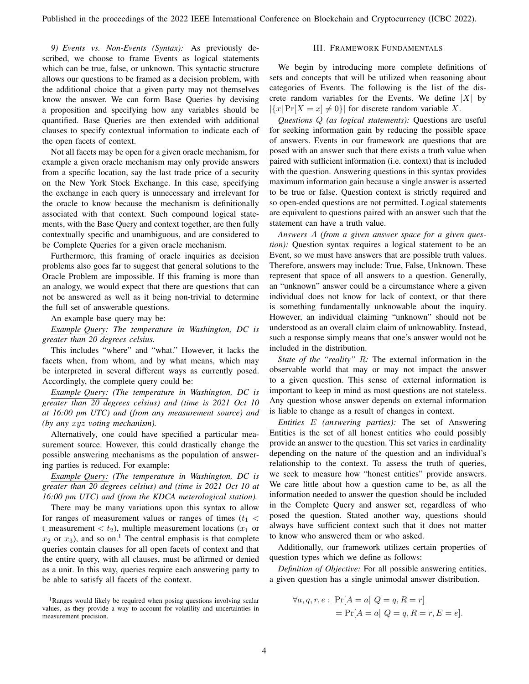*9) Events vs. Non-Events (Syntax):* As previously described, we choose to frame Events as logical statements which can be true, false, or unknown. This syntactic structure allows our questions to be framed as a decision problem, with the additional choice that a given party may not themselves know the answer. We can form Base Queries by devising a proposition and specifying how any variables should be quantified. Base Queries are then extended with additional clauses to specify contextual information to indicate each of the open facets of context.

Not all facets may be open for a given oracle mechanism, for example a given oracle mechanism may only provide answers from a specific location, say the last trade price of a security on the New York Stock Exchange. In this case, specifying the exchange in each query is unnecessary and irrelevant for the oracle to know because the mechanism is definitionally associated with that context. Such compound logical statements, with the Base Query and context together, are then fully contextually specific and unambiguous, and are considered to be Complete Queries for a given oracle mechanism.

Furthermore, this framing of oracle inquiries as decision problems also goes far to suggest that general solutions to the Oracle Problem are impossible. If this framing is more than an analogy, we would expect that there are questions that can not be answered as well as it being non-trivial to determine the full set of answerable questions.

An example base query may be:

*Example Query: The temperature in Washington, DC is greater than 20 degrees celsius.*

This includes "where" and "what." However, it lacks the facets when, from whom, and by what means, which may be interpreted in several different ways as currently posed. Accordingly, the complete query could be:

*Example Query: (The temperature in Washington, DC is greater than 20 degrees celsius) and (time is 2021 Oct 10 at 16:00 pm UTC) and (from any measurement source) and (by any* xyz *voting mechanism).*

Alternatively, one could have specified a particular measurement source. However, this could drastically change the possible answering mechanisms as the population of answering parties is reduced. For example:

*Example Query: (The temperature in Washington, DC is greater than 20 degrees celsius) and (time is 2021 Oct 10 at 16:00 pm UTC) and (from the KDCA meterological station).*

There may be many variations upon this syntax to allow for ranges of measurement values or ranges of times  $(t_1$  < t\_measurement <  $t_2$ ), multiple measurement locations ( $x_1$  or  $x_2$  or  $x_3$ ), and so on.<sup>1</sup> The central emphasis is that complete queries contain clauses for all open facets of context and that the entire query, with all clauses, must be affirmed or denied as a unit. In this way, queries require each answering party to be able to satisfy all facets of the context.

# III. FRAMEWORK FUNDAMENTALS

We begin by introducing more complete definitions of sets and concepts that will be utilized when reasoning about categories of Events. The following is the list of the discrete random variables for the Events. We define  $|X|$  by  $|\{x| \Pr[X = x] \neq 0\}|$  for discrete random variable X.

*Questions* Q *(as logical statements):* Questions are useful for seeking information gain by reducing the possible space of answers. Events in our framework are questions that are posed with an answer such that there exists a truth value when paired with sufficient information (i.e. context) that is included with the question. Answering questions in this syntax provides maximum information gain because a single answer is asserted to be true or false. Question context is strictly required and so open-ended questions are not permitted. Logical statements are equivalent to questions paired with an answer such that the statement can have a truth value.

*Answers* A *(from a given answer space for a given question):* Question syntax requires a logical statement to be an Event, so we must have answers that are possible truth values. Therefore, answers may include: True, False, Unknown. These represent that space of all answers to a question. Generally, an "unknown" answer could be a circumstance where a given individual does not know for lack of context, or that there is something fundamentally unknowable about the inquiry. However, an individual claiming "unknown" should not be understood as an overall claim claim of unknowablity. Instead, such a response simply means that one's answer would not be included in the distribution.

*State of the "reality"* R*:* The external information in the observable world that may or may not impact the answer to a given question. This sense of external information is important to keep in mind as most questions are not stateless. Any question whose answer depends on external information is liable to change as a result of changes in context.

*Entities* E *(answering parties):* The set of Answering Entities is the set of all honest entities who could possibly provide an answer to the question. This set varies in cardinality depending on the nature of the question and an individual's relationship to the context. To assess the truth of queries, we seek to measure how "honest entities" provide answers. We care little about how a question came to be, as all the information needed to answer the question should be included in the Complete Query and answer set, regardless of who posed the question. Stated another way, questions should always have sufficient context such that it does not matter to know who answered them or who asked.

Additionally, our framework utilizes certain properties of question types which we define as follows:

*Definition of Objective:* For all possible answering entities, a given question has a single unimodal answer distribution.

$$
\forall a, q, r, e: \Pr[A = a | Q = q, R = r] \\
= \Pr[A = a | Q = q, R = r, E = e].
$$

<sup>&</sup>lt;sup>1</sup>Ranges would likely be required when posing questions involving scalar values, as they provide a way to account for volatility and uncertainties in measurement precision.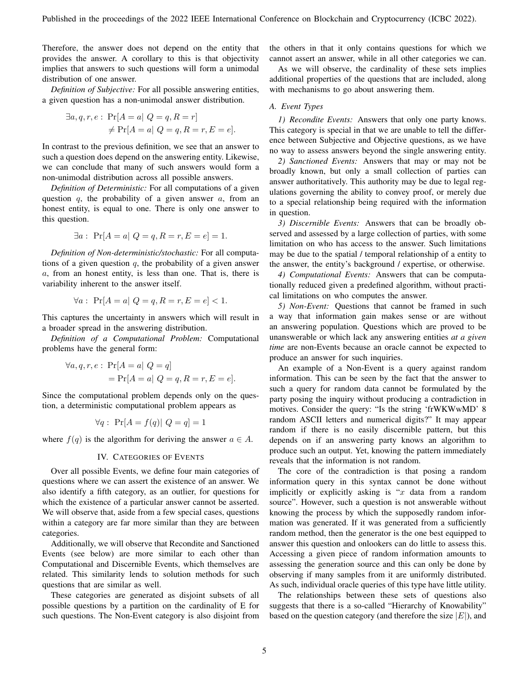Therefore, the answer does not depend on the entity that provides the answer. A corollary to this is that objectivity implies that answers to such questions will form a unimodal distribution of one answer.

*Definition of Subjective:* For all possible answering entities, a given question has a non-unimodal answer distribution.

$$
\exists a, q, r, e: \Pr[A = a \mid Q = q, R = r]
$$

$$
\neq \Pr[A = a \mid Q = q, R = r, E = e].
$$

In contrast to the previous definition, we see that an answer to such a question does depend on the answering entity. Likewise, we can conclude that many of such answers would form a non-unimodal distribution across all possible answers.

*Definition of Deterministic:* For all computations of a given question  $q$ , the probability of a given answer  $a$ , from an honest entity, is equal to one. There is only one answer to this question.

$$
\exists a: \Pr[A = a \mid Q = q, R = r, E = e] = 1.
$$

*Definition of Non-deterministic/stochastic:* For all computations of a given question  $q$ , the probability of a given answer a, from an honest entity, is less than one. That is, there is variability inherent to the answer itself.

$$
\forall a: \Pr[A = a \mid Q = q, R = r, E = e] < 1.
$$

This captures the uncertainty in answers which will result in a broader spread in the answering distribution.

*Definition of a Computational Problem:* Computational problems have the general form:

$$
\forall a, q, r, e: \Pr[A = a | Q = q] = \Pr[A = a | Q = q, R = r, E = e].
$$

Since the computational problem depends only on the question, a deterministic computational problem appears as

$$
\forall q: \ \Pr[A = f(q)| \ Q = q] = 1
$$

where  $f(q)$  is the algorithm for deriving the answer  $a \in A$ .

# IV. CATEGORIES OF EVENTS

Over all possible Events, we define four main categories of questions where we can assert the existence of an answer. We also identify a fifth category, as an outlier, for questions for which the existence of a particular answer cannot be asserted. We will observe that, aside from a few special cases, questions within a category are far more similar than they are between categories.

Additionally, we will observe that Recondite and Sanctioned Events (see below) are more similar to each other than Computational and Discernible Events, which themselves are related. This similarity lends to solution methods for such questions that are similar as well.

These categories are generated as disjoint subsets of all possible questions by a partition on the cardinality of E for such questions. The Non-Event category is also disjoint from the others in that it only contains questions for which we cannot assert an answer, while in all other categories we can.

As we will observe, the cardinality of these sets implies additional properties of the questions that are included, along with mechanisms to go about answering them.

## *A. Event Types*

*1) Recondite Events:* Answers that only one party knows. This category is special in that we are unable to tell the difference between Subjective and Objective questions, as we have no way to assess answers beyond the single answering entity.

*2) Sanctioned Events:* Answers that may or may not be broadly known, but only a small collection of parties can answer authoritatively. This authority may be due to legal regulations governing the ability to convey proof, or merely due to a special relationship being required with the information in question.

*3) Discernible Events:* Answers that can be broadly observed and assessed by a large collection of parties, with some limitation on who has access to the answer. Such limitations may be due to the spatial / temporal relationship of a entity to the answer, the entity's background / expertise, or otherwise.

*4) Computational Events:* Answers that can be computationally reduced given a predefined algorithm, without practical limitations on who computes the answer.

*5) Non-Event:* Questions that cannot be framed in such a way that information gain makes sense or are without an answering population. Questions which are proved to be unanswerable or which lack any answering entities *at a given time* are non-Events because an oracle cannot be expected to produce an answer for such inquiries.

An example of a Non-Event is a query against random information. This can be seen by the fact that the answer to such a query for random data cannot be formulated by the party posing the inquiry without producing a contradiction in motives. Consider the query: "Is the string 'frWKWwMD' 8 random ASCII letters and numerical digits?" It may appear random if there is no easily discernible pattern, but this depends on if an answering party knows an algorithm to produce such an output. Yet, knowing the pattern immediately reveals that the information is not random.

The core of the contradiction is that posing a random information query in this syntax cannot be done without implicitly or explicitly asking is " $x$  data from a random source". However, such a question is not answerable without knowing the process by which the supposedly random information was generated. If it was generated from a sufficiently random method, then the generator is the one best equipped to answer this question and onlookers can do little to assess this. Accessing a given piece of random information amounts to assessing the generation source and this can only be done by observing if many samples from it are uniformly distributed. As such, individual oracle queries of this type have little utility.

The relationships between these sets of questions also suggests that there is a so-called "Hierarchy of Knowability" based on the question category (and therefore the size  $|E|$ ), and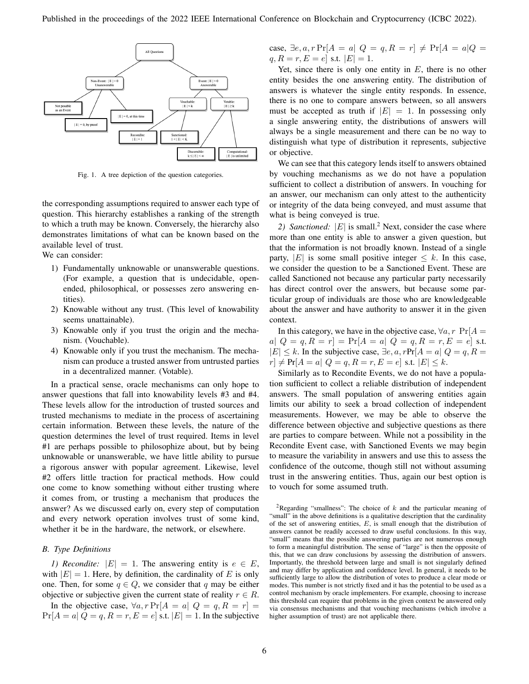

Fig. 1. A tree depiction of the question categories.

the corresponding assumptions required to answer each type of question. This hierarchy establishes a ranking of the strength to which a truth may be known. Conversely, the hierarchy also demonstrates limitations of what can be known based on the available level of trust.

We can consider:

- 1) Fundamentally unknowable or unanswerable questions. (For example, a question that is undecidable, openended, philosophical, or possesses zero answering entities).
- 2) Knowable without any trust. (This level of knowability seems unattainable).
- 3) Knowable only if you trust the origin and the mechanism. (Vouchable).
- 4) Knowable only if you trust the mechanism. The mechanism can produce a trusted answer from untrusted parties in a decentralized manner. (Votable).

In a practical sense, oracle mechanisms can only hope to answer questions that fall into knowability levels #3 and #4. These levels allow for the introduction of trusted sources and trusted mechanisms to mediate in the process of ascertaining certain information. Between these levels, the nature of the question determines the level of trust required. Items in level #1 are perhaps possible to philosophize about, but by being unknowable or unanswerable, we have little ability to pursue a rigorous answer with popular agreement. Likewise, level #2 offers little traction for practical methods. How could one come to know something without either trusting where it comes from, or trusting a mechanism that produces the answer? As we discussed early on, every step of computation and every network operation involves trust of some kind, whether it be in the hardware, the network, or elsewhere.

#### *B. Type Definitions*

*1) Recondite:*  $|E| = 1$ . The answering entity is  $e \in E$ , with  $|E| = 1$ . Here, by definition, the cardinality of E is only one. Then, for some  $q \in Q$ , we consider that q may be either objective or subjective given the current state of reality  $r \in R$ .

In the objective case,  $\forall a, r \Pr[A = a | Q = q, R = r] =$  $Pr[A = a | Q = q, R = r, E = e]$  s.t.  $|E| = 1$ . In the subjective case, ∃e, a, r Pr[ $A = a | Q = q, R = r$ ] ≠ Pr[ $A = a | Q =$  $q, R = r, E = e$  s.t.  $|E| = 1$ .

Yet, since there is only one entity in  $E$ , there is no other entity besides the one answering entity. The distribution of answers is whatever the single entity responds. In essence, there is no one to compare answers between, so all answers must be accepted as truth if  $|E| = 1$ . In possessing only a single answering entity, the distributions of answers will always be a single measurement and there can be no way to distinguish what type of distribution it represents, subjective or objective.

We can see that this category lends itself to answers obtained by vouching mechanisms as we do not have a population sufficient to collect a distribution of answers. In vouching for an answer, our mechanism can only attest to the authenticity or integrity of the data being conveyed, and must assume that what is being conveyed is true.

2) Sanctioned:  $|E|$  is small.<sup>2</sup> Next, consider the case where more than one entity is able to answer a given question, but that the information is not broadly known. Instead of a single party, |E| is some small positive integer  $\leq k$ . In this case, we consider the question to be a Sanctioned Event. These are called Sanctioned not because any particular party necessarily has direct control over the answers, but because some particular group of individuals are those who are knowledgeable about the answer and have authority to answer it in the given context.

In this category, we have in the objective case,  $\forall a, r \text{ Pr}[A =$ a|  $Q = q, R = r$ ] = Pr[ $A = a$ |  $Q = q, R = r, E = e$ ] s.t.  $|E| \leq k$ . In the subjective case,  $\exists e, a, r$ Pr[ $A = a | Q = q, R =$  $|r| \neq Pr[A = a | Q = q, R = r, E = e] \text{ s.t. } |E| \leq k.$ 

Similarly as to Recondite Events, we do not have a population sufficient to collect a reliable distribution of independent answers. The small population of answering entities again limits our ability to seek a broad collection of independent measurements. However, we may be able to observe the difference between objective and subjective questions as there are parties to compare between. While not a possibility in the Recondite Event case, with Sanctioned Events we may begin to measure the variability in answers and use this to assess the confidence of the outcome, though still not without assuming trust in the answering entities. Thus, again our best option is to vouch for some assumed truth.

<sup>&</sup>lt;sup>2</sup>Regarding "smallness": The choice of  $k$  and the particular meaning of "small" in the above definitions is a qualitative description that the cardinality of the set of answering entities,  $E$ , is small enough that the distribution of answers cannot be readily accessed to draw useful conclusions. In this way, "small" means that the possible answering parties are not numerous enough to form a meaningful distribution. The sense of "large" is then the opposite of this, that we can draw conclusions by assessing the distribution of answers. Importantly, the threshold between large and small is not singularly defined and may differ by application and confidence level. In general, it needs to be sufficiently large to allow the distribution of votes to produce a clear mode or modes. This number is not strictly fixed and it has the potential to be used as a control mechanism by oracle implementers. For example, choosing to increase this threshold can require that problems in the given context be answered only via consensus mechanisms and that vouching mechanisms (which involve a higher assumption of trust) are not applicable there.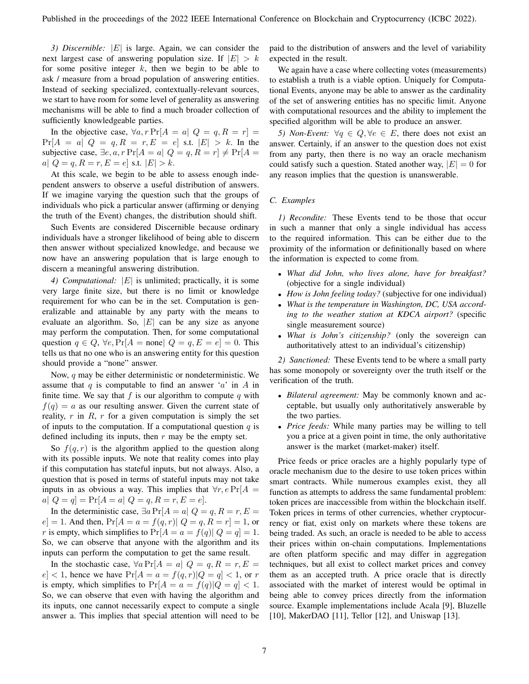*3) Discernible:* |E| is large. Again, we can consider the next largest case of answering population size. If  $|E| > k$ for some positive integer  $k$ , then we begin to be able to ask / measure from a broad population of answering entities. Instead of seeking specialized, contextually-relevant sources, we start to have room for some level of generality as answering mechanisms will be able to find a much broader collection of sufficiently knowledgeable parties.

In the objective case,  $\forall a, r \Pr[A = a \mid Q = q, R = r] =$  $Pr[A = a | Q = q, R = r, E = e]$  s.t.  $|E| > k$ . In the subjective case,  $\exists e, a, r \Pr[A = a | Q = q, R = r] \neq \Pr[A =$ a|  $Q = q, R = r, E = e$ ] s.t.  $|E| > k$ .

At this scale, we begin to be able to assess enough independent answers to observe a useful distribution of answers. If we imagine varying the question such that the groups of individuals who pick a particular answer (affirming or denying the truth of the Event) changes, the distribution should shift.

Such Events are considered Discernible because ordinary individuals have a stronger likelihood of being able to discern then answer without specialized knowledge, and because we now have an answering population that is large enough to discern a meaningful answering distribution.

*4) Computational:* |E| is unlimited; practically, it is some very large finite size, but there is no limit or knowledge requirement for who can be in the set. Computation is generalizable and attainable by any party with the means to evaluate an algorithm. So,  $|E|$  can be any size as anyone may perform the computation. Then, for some computational question  $q \in Q$ ,  $\forall e$ ,  $\Pr[A = \text{none} | Q = q, E = e] = 0$ . This tells us that no one who is an answering entity for this question should provide a "none" answer.

Now,  $q$  may be either deterministic or nondeterministic. We assume that q is computable to find an answer  $a'$  in A in finite time. We say that f is our algorithm to compute q with  $f(q) = a$  as our resulting answer. Given the current state of reality,  $r$  in  $R$ ,  $r$  for a given computation is simply the set of inputs to the computation. If a computational question  $q$  is defined including its inputs, then  $r$  may be the empty set.

So  $f(q, r)$  is the algorithm applied to the question along with its possible inputs. We note that reality comes into play if this computation has stateful inputs, but not always. Also, a question that is posed in terms of stateful inputs may not take inputs in as obvious a way. This implies that  $\forall r, e \Pr[A] =$  $a|Q = q| = Pr[A = a|Q = q, R = r, E = e].$ 

In the deterministic case,  $\exists a \Pr[A = a \mid Q = q, R = r, E =$  $e$  = 1. And then,  $Pr[A = a = f(q, r)]$   $Q = q, R = r$  = 1, or r is empty, which simplifies to  $Pr[A = a = f(q) | Q = q] = 1$ . So, we can observe that anyone with the algorithm and its inputs can perform the computation to get the same result.

In the stochastic case,  $\forall a \Pr[A = a \mid Q = q, R = r, E =$  $|e| < 1$ , hence we have  $Pr[A = a = f(q, r) | Q = q] < 1$ , or r is empty, which simplifies to  $Pr[A = a = f(q)|Q = q] < 1$ . So, we can observe that even with having the algorithm and its inputs, one cannot necessarily expect to compute a single answer a. This implies that special attention will need to be paid to the distribution of answers and the level of variability expected in the result.

We again have a case where collecting votes (measurements) to establish a truth is a viable option. Uniquely for Computational Events, anyone may be able to answer as the cardinality of the set of answering entities has no specific limit. Anyone with computational resources and the ability to implement the specified algorithm will be able to produce an answer.

*5) Non-Event:*  $\forall q \in Q, \forall e \in E$ , there does not exist an answer. Certainly, if an answer to the question does not exist from any party, then there is no way an oracle mechanism could satisfy such a question. Stated another way,  $|E| = 0$  for any reason implies that the question is unanswerable.

## *C. Examples*

*1) Recondite:* These Events tend to be those that occur in such a manner that only a single individual has access to the required information. This can be either due to the proximity of the information or definitionally based on where the information is expected to come from.

- *What did John, who lives alone, have for breakfast?* (objective for a single individual)
- *How is John feeling today?* (subjective for one individual)
- *What is the temperature in Washington, DC, USA according to the weather station at KDCA airport?* (specific single measurement source)
- *What is John's citizenship?* (only the sovereign can authoritatively attest to an individual's citizenship)

*2) Sanctioned:* These Events tend to be where a small party has some monopoly or sovereignty over the truth itself or the verification of the truth.

- *Bilateral agreement:* May be commonly known and acceptable, but usually only authoritatively answerable by the two parties.
- *Price feeds:* While many parties may be willing to tell you a price at a given point in time, the only authoritative answer is the market (market-maker) itself.

Price feeds or price oracles are a highly popularly type of oracle mechanism due to the desire to use token prices within smart contracts. While numerous examples exist, they all function as attempts to address the same fundamental problem: token prices are inaccessible from within the blockchain itself. Token prices in terms of other currencies, whether cryptocurrency or fiat, exist only on markets where these tokens are being traded. As such, an oracle is needed to be able to access their prices within on-chain computations. Implementations are often platform specific and may differ in aggregation techniques, but all exist to collect market prices and convey them as an accepted truth. A price oracle that is directly associated with the market of interest would be optimal in being able to convey prices directly from the information source. Example implementations include Acala [9], Bluzelle [10], MakerDAO [11], Tellor [12], and Uniswap [13].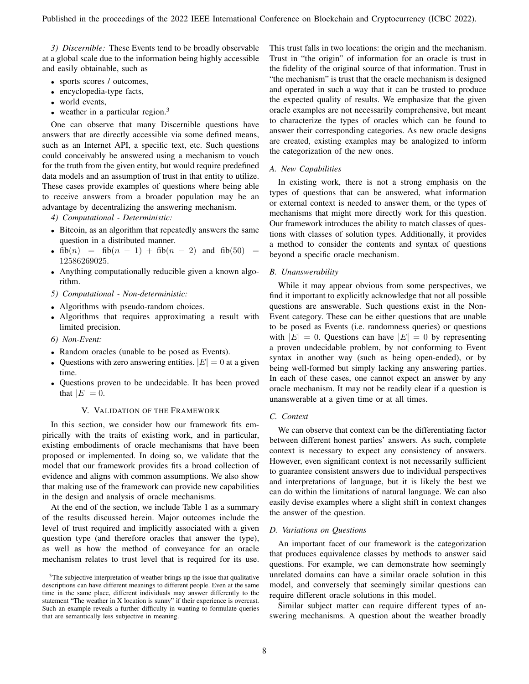*3) Discernible:* These Events tend to be broadly observable at a global scale due to the information being highly accessible and easily obtainable, such as

- sports scores / outcomes,
- encyclopedia-type facts,
- world events,
- weather in a particular region. $3$

One can observe that many Discernible questions have answers that are directly accessible via some defined means, such as an Internet API, a specific text, etc. Such questions could conceivably be answered using a mechanism to vouch for the truth from the given entity, but would require predefined data models and an assumption of trust in that entity to utilize. These cases provide examples of questions where being able to receive answers from a broader population may be an advantage by decentralizing the answering mechanism.

*4) Computational - Deterministic:*

- Bitcoin, as an algorithm that repeatedly answers the same question in a distributed manner.
- $fib(n) = fib(n 1) + fib(n 2)$  and  $fib(50) =$ 12586269025.
- Anything computationally reducible given a known algorithm.
- *5) Computational Non-deterministic:*
- Algorithms with pseudo-random choices.
- Algorithms that requires approximating a result with limited precision.
- *6) Non-Event:*
- Random oracles (unable to be posed as Events).
- Ouestions with zero answering entities.  $|E| = 0$  at a given time.
- Questions proven to be undecidable. It has been proved that  $|E| = 0$ .

#### V. VALIDATION OF THE FRAMEWORK

In this section, we consider how our framework fits empirically with the traits of existing work, and in particular, existing embodiments of oracle mechanisms that have been proposed or implemented. In doing so, we validate that the model that our framework provides fits a broad collection of evidence and aligns with common assumptions. We also show that making use of the framework can provide new capabilities in the design and analysis of oracle mechanisms.

At the end of the section, we include Table 1 as a summary of the results discussed herein. Major outcomes include the level of trust required and implicitly associated with a given question type (and therefore oracles that answer the type), as well as how the method of conveyance for an oracle mechanism relates to trust level that is required for its use. This trust falls in two locations: the origin and the mechanism. Trust in "the origin" of information for an oracle is trust in the fidelity of the original source of that information. Trust in "the mechanism" is trust that the oracle mechanism is designed and operated in such a way that it can be trusted to produce the expected quality of results. We emphasize that the given oracle examples are not necessarily comprehensive, but meant to characterize the types of oracles which can be found to answer their corresponding categories. As new oracle designs are created, existing examples may be analogized to inform the categorization of the new ones.

#### *A. New Capabilities*

In existing work, there is not a strong emphasis on the types of questions that can be answered, what information or external context is needed to answer them, or the types of mechanisms that might more directly work for this question. Our framework introduces the ability to match classes of questions with classes of solution types. Additionally, it provides a method to consider the contents and syntax of questions beyond a specific oracle mechanism.

## *B. Unanswerability*

While it may appear obvious from some perspectives, we find it important to explicitly acknowledge that not all possible questions are answerable. Such questions exist in the Non-Event category. These can be either questions that are unable to be posed as Events (i.e. randomness queries) or questions with  $|E| = 0$ . Questions can have  $|E| = 0$  by representing a proven undecidable problem, by not conforming to Event syntax in another way (such as being open-ended), or by being well-formed but simply lacking any answering parties. In each of these cases, one cannot expect an answer by any oracle mechanism. It may not be readily clear if a question is unanswerable at a given time or at all times.

#### *C. Context*

We can observe that context can be the differentiating factor between different honest parties' answers. As such, complete context is necessary to expect any consistency of answers. However, even significant context is not necessarily sufficient to guarantee consistent answers due to individual perspectives and interpretations of language, but it is likely the best we can do within the limitations of natural language. We can also easily devise examples where a slight shift in context changes the answer of the question.

#### *D. Variations on Questions*

An important facet of our framework is the categorization that produces equivalence classes by methods to answer said questions. For example, we can demonstrate how seemingly unrelated domains can have a similar oracle solution in this model, and conversely that seemingly similar questions can require different oracle solutions in this model.

Similar subject matter can require different types of answering mechanisms. A question about the weather broadly

<sup>&</sup>lt;sup>3</sup>The subjective interpretation of weather brings up the issue that qualitative descriptions can have different meanings to different people. Even at the same time in the same place, different individuals may answer differently to the statement "The weather in X location is sunny" if their experience is overcast. Such an example reveals a further difficulty in wanting to formulate queries that are semantically less subjective in meaning.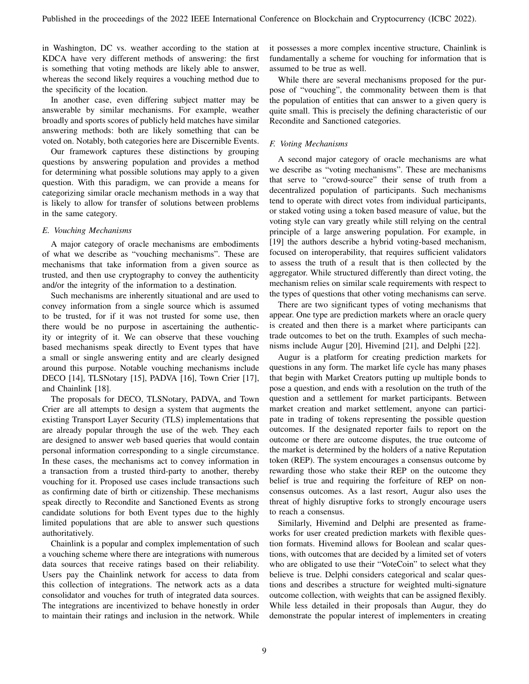in Washington, DC vs. weather according to the station at KDCA have very different methods of answering: the first is something that voting methods are likely able to answer, whereas the second likely requires a vouching method due to the specificity of the location.

In another case, even differing subject matter may be answerable by similar mechanisms. For example, weather broadly and sports scores of publicly held matches have similar answering methods: both are likely something that can be voted on. Notably, both categories here are Discernible Events.

Our framework captures these distinctions by grouping questions by answering population and provides a method for determining what possible solutions may apply to a given question. With this paradigm, we can provide a means for categorizing similar oracle mechanism methods in a way that is likely to allow for transfer of solutions between problems in the same category.

## *E. Vouching Mechanisms*

A major category of oracle mechanisms are embodiments of what we describe as "vouching mechanisms". These are mechanisms that take information from a given source as trusted, and then use cryptography to convey the authenticity and/or the integrity of the information to a destination.

Such mechanisms are inherently situational and are used to convey information from a single source which is assumed to be trusted, for if it was not trusted for some use, then there would be no purpose in ascertaining the authenticity or integrity of it. We can observe that these vouching based mechanisms speak directly to Event types that have a small or single answering entity and are clearly designed around this purpose. Notable vouching mechanisms include DECO [14], TLSNotary [15], PADVA [16], Town Crier [17], and Chainlink [18].

The proposals for DECO, TLSNotary, PADVA, and Town Crier are all attempts to design a system that augments the existing Transport Layer Security (TLS) implementations that are already popular through the use of the web. They each are designed to answer web based queries that would contain personal information corresponding to a single circumstance. In these cases, the mechanisms act to convey information in a transaction from a trusted third-party to another, thereby vouching for it. Proposed use cases include transactions such as confirming date of birth or citizenship. These mechanisms speak directly to Recondite and Sanctioned Events as strong candidate solutions for both Event types due to the highly limited populations that are able to answer such questions authoritatively.

Chainlink is a popular and complex implementation of such a vouching scheme where there are integrations with numerous data sources that receive ratings based on their reliability. Users pay the Chainlink network for access to data from this collection of integrations. The network acts as a data consolidator and vouches for truth of integrated data sources. The integrations are incentivized to behave honestly in order to maintain their ratings and inclusion in the network. While it possesses a more complex incentive structure, Chainlink is fundamentally a scheme for vouching for information that is assumed to be true as well.

While there are several mechanisms proposed for the purpose of "vouching", the commonality between them is that the population of entities that can answer to a given query is quite small. This is precisely the defining characteristic of our Recondite and Sanctioned categories.

# *F. Voting Mechanisms*

A second major category of oracle mechanisms are what we describe as "voting mechanisms". These are mechanisms that serve to "crowd-source" their sense of truth from a decentralized population of participants. Such mechanisms tend to operate with direct votes from individual participants, or staked voting using a token based measure of value, but the voting style can vary greatly while still relying on the central principle of a large answering population. For example, in [19] the authors describe a hybrid voting-based mechanism, focused on interoperability, that requires sufficient validators to assess the truth of a result that is then collected by the aggregator. While structured differently than direct voting, the mechanism relies on similar scale requirements with respect to the types of questions that other voting mechanisms can serve.

There are two significant types of voting mechanisms that appear. One type are prediction markets where an oracle query is created and then there is a market where participants can trade outcomes to bet on the truth. Examples of such mechanisms include Augur [20], Hivemind [21], and Delphi [22].

Augur is a platform for creating prediction markets for questions in any form. The market life cycle has many phases that begin with Market Creators putting up multiple bonds to pose a question, and ends with a resolution on the truth of the question and a settlement for market participants. Between market creation and market settlement, anyone can participate in trading of tokens representing the possible question outcomes. If the designated reporter fails to report on the outcome or there are outcome disputes, the true outcome of the market is determined by the holders of a native Reputation token (REP). The system encourages a consensus outcome by rewarding those who stake their REP on the outcome they belief is true and requiring the forfeiture of REP on nonconsensus outcomes. As a last resort, Augur also uses the threat of highly disruptive forks to strongly encourage users to reach a consensus.

Similarly, Hivemind and Delphi are presented as frameworks for user created prediction markets with flexible question formats. Hivemind allows for Boolean and scalar questions, with outcomes that are decided by a limited set of voters who are obligated to use their "VoteCoin" to select what they believe is true. Delphi considers categorical and scalar questions and describes a structure for weighted multi-signature outcome collection, with weights that can be assigned flexibly. While less detailed in their proposals than Augur, they do demonstrate the popular interest of implementers in creating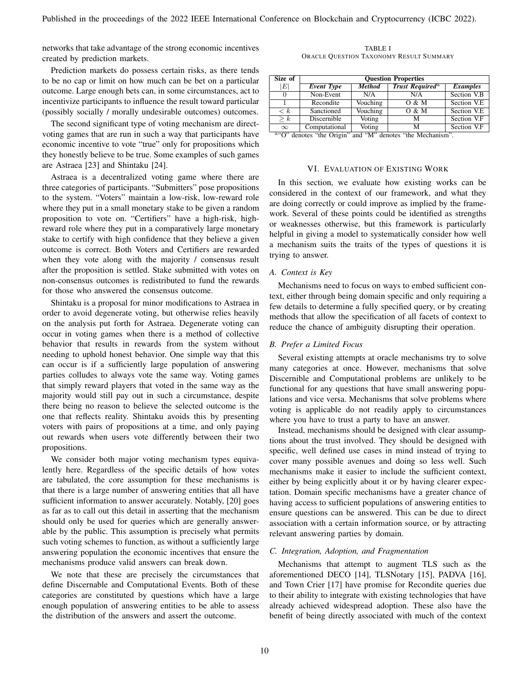networks that take advantage of the strong economic incentives created by prediction markets.

Prediction markets do possess certain risks, as there tends to be no cap or limit on how much can be bet on a particular outcome. Large enough bets can, in some circumstances, act to incentivize participants to influence the result toward particular (possibly socially / morally undesirable outcomes) outcomes.

The second significant type of voting mechanism are directvoting games that are run in such a way that participants have economic incentive to vote "true" only for propositions which they honestly believe to be true. Some examples of such games are Astraea [23] and Shintaku [24].

Astraea is a decentralized voting game where there are three categories of participants. "Submitters" pose propositions to the system. "Voters" maintain a low-risk, low-reward role where they put in a small monetary stake to be given a random proposition to vote on. "Certifiers" have a high-risk, highreward role where they put in a comparatively large monetary stake to certify with high confidence that they believe a given outcome is correct. Both Voters and Certifiers are rewarded when they vote along with the majority / consensus result after the proposition is settled. Stake submitted with votes on non-consensus outcomes is redistributed to fund the rewards for those who answered the consensus outcome.

Shintaku is a proposal for minor modifications to Astraea in order to avoid degenerate voting, but otherwise relies heavily on the analysis put forth for Astraea. Degenerate voting can occur in voting games when there is a method of collective behavior that results in rewards from the system without needing to uphold honest behavior. One simple way that this can occur is if a sufficiently large population of answering parties colludes to always vote the same way. Voting games that simply reward players that voted in the same way as the majority would still pay out in such a circumstance, despite there being no reason to believe the selected outcome is the one that reflects reality. Shintaku avoids this by presenting voters with pairs of propositions at a time, and only paying out rewards when users vote differently between their two propositions.

We consider both major voting mechanism types equivalently here. Regardless of the specific details of how votes are tabulated, the core assumption for these mechanisms is that there is a large number of answering entities that all have sufficient information to answer accurately. Notably, [20] goes as far as to call out this detail in asserting that the mechanism should only be used for queries which are generally answerable by the public. This assumption is precisely what permits such voting schemes to function, as without a sufficiently large answering population the economic incentives that ensure the mechanisms produce valid answers can break down.

We note that these are precisely the circumstances that define Discernable and Computational Events. Both of these categories are constituted by questions which have a large enough population of answering entities to be able to assess the distribution of the answers and assert the outcome.

TABLE I ORACLE QUESTION TAXONOMY RESULT SUMMARY

| Size of                            | <b>Ouestion Properties</b> |               |                             |                 |
|------------------------------------|----------------------------|---------------|-----------------------------|-----------------|
| $\left E\right $                   | <b>Event Type</b>          | <b>Method</b> | Trust Required <sup>a</sup> | <b>Examples</b> |
| 0                                  | Non-Event                  | N/A           | N/A                         | Section V.B     |
|                                    | Recondite                  | Vouching      | 0 & M                       | Section V.E.    |
| $\lt k$                            | Sanctioned                 | Vouching      | 0 & M                       | Section V.E.    |
| $\overline{\vphantom{h}}$ $\geq k$ | Discernible                | Voting        | м                           | Section V.F     |
| $\infty$                           | Computational              | <b>Voting</b> | м                           | Section V.F     |

a "O" denotes "the Origin" and "M" denotes "the Mechanism".

#### VI. EVALUATION OF EXISTING WORK

In this section, we evaluate how existing works can be considered in the context of our framework, and what they are doing correctly or could improve as implied by the framework. Several of these points could be identified as strengths or weaknesses otherwise, but this framework is particularly helpful in giving a model to systematically consider how well a mechanism suits the traits of the types of questions it is trying to answer.

#### *A. Context is Key*

Mechanisms need to focus on ways to embed sufficient context, either through being domain specific and only requiring a few details to determine a fully specified query, or by creating methods that allow the specification of all facets of context to reduce the chance of ambiguity disrupting their operation.

#### *B. Prefer a Limited Focus*

Several existing attempts at oracle mechanisms try to solve many categories at once. However, mechanisms that solve Discernible and Computational problems are unlikely to be functional for any questions that have small answering populations and vice versa. Mechanisms that solve problems where voting is applicable do not readily apply to circumstances where you have to trust a party to have an answer.

Instead, mechanisms should be designed with clear assumptions about the trust involved. They should be designed with specific, well defined use cases in mind instead of trying to cover many possible avenues and doing so less well. Such mechanisms make it easier to include the sufficient context, either by being explicitly about it or by having clearer expectation. Domain specific mechanisms have a greater chance of having access to sufficient populations of answering entities to ensure questions can be answered. This can be due to direct association with a certain information source, or by attracting relevant answering parties by domain.

#### *C. Integration, Adoption, and Fragmentation*

Mechanisms that attempt to augment TLS such as the aforementioned DECO [14], TLSNotary [15], PADVA [16], and Town Crier [17] have promise for Recondite queries due to their ability to integrate with existing technologies that have already achieved widespread adoption. These also have the benefit of being directly associated with much of the context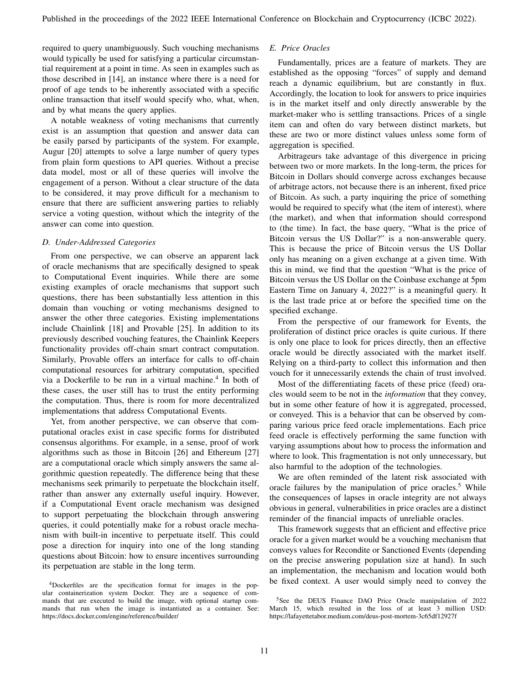required to query unambiguously. Such vouching mechanisms would typically be used for satisfying a particular circumstantial requirement at a point in time. As seen in examples such as those described in [14], an instance where there is a need for proof of age tends to be inherently associated with a specific online transaction that itself would specify who, what, when, and by what means the query applies.

A notable weakness of voting mechanisms that currently exist is an assumption that question and answer data can be easily parsed by participants of the system. For example, Augur [20] attempts to solve a large number of query types from plain form questions to API queries. Without a precise data model, most or all of these queries will involve the engagement of a person. Without a clear structure of the data to be considered, it may prove difficult for a mechanism to ensure that there are sufficient answering parties to reliably service a voting question, without which the integrity of the answer can come into question.

## *D. Under-Addressed Categories*

From one perspective, we can observe an apparent lack of oracle mechanisms that are specifically designed to speak to Computational Event inquiries. While there are some existing examples of oracle mechanisms that support such questions, there has been substantially less attention in this domain than vouching or voting mechanisms designed to answer the other three categories. Existing implementations include Chainlink [18] and Provable [25]. In addition to its previously described vouching features, the Chainlink Keepers functionality provides off-chain smart contract computation. Similarly, Provable offers an interface for calls to off-chain computational resources for arbitrary computation, specified via a Dockerfile to be run in a virtual machine.<sup>4</sup> In both of these cases, the user still has to trust the entity performing the computation. Thus, there is room for more decentralized implementations that address Computational Events.

Yet, from another perspective, we can observe that computational oracles exist in case specific forms for distributed consensus algorithms. For example, in a sense, proof of work algorithms such as those in Bitcoin [26] and Ethereum [27] are a computational oracle which simply answers the same algorithmic question repeatedly. The difference being that these mechanisms seek primarily to perpetuate the blockchain itself, rather than answer any externally useful inquiry. However, if a Computational Event oracle mechanism was designed to support perpetuating the blockchain through answering queries, it could potentially make for a robust oracle mechanism with built-in incentive to perpetuate itself. This could pose a direction for inquiry into one of the long standing questions about Bitcoin: how to ensure incentives surrounding its perpetuation are stable in the long term.

# *E. Price Oracles*

Fundamentally, prices are a feature of markets. They are established as the opposing "forces" of supply and demand reach a dynamic equilibrium, but are constantly in flux. Accordingly, the location to look for answers to price inquiries is in the market itself and only directly answerable by the market-maker who is settling transactions. Prices of a single item can and often do vary between distinct markets, but these are two or more distinct values unless some form of aggregation is specified.

Arbitrageurs take advantage of this divergence in pricing between two or more markets. In the long-term, the prices for Bitcoin in Dollars should converge across exchanges because of arbitrage actors, not because there is an inherent, fixed price of Bitcoin. As such, a party inquiring the price of something would be required to specify what (the item of interest), where (the market), and when that information should correspond to (the time). In fact, the base query, "What is the price of Bitcoin versus the US Dollar?" is a non-answerable query. This is because the price of Bitcoin versus the US Dollar only has meaning on a given exchange at a given time. With this in mind, we find that the question "What is the price of Bitcoin versus the US Dollar on the Coinbase exchange at 5pm Eastern Time on January 4, 2022?" is a meaningful query. It is the last trade price at or before the specified time on the specified exchange.

From the perspective of our framework for Events, the proliferation of distinct price oracles is quite curious. If there is only one place to look for prices directly, then an effective oracle would be directly associated with the market itself. Relying on a third-party to collect this information and then vouch for it unnecessarily extends the chain of trust involved.

Most of the differentiating facets of these price (feed) oracles would seem to be not in the *information* that they convey, but in some other feature of how it is aggregated, processed, or conveyed. This is a behavior that can be observed by comparing various price feed oracle implementations. Each price feed oracle is effectively performing the same function with varying assumptions about how to process the information and where to look. This fragmentation is not only unnecessary, but also harmful to the adoption of the technologies.

We are often reminded of the latent risk associated with oracle failures by the manipulation of price oracles.<sup>5</sup> While the consequences of lapses in oracle integrity are not always obvious in general, vulnerabilities in price oracles are a distinct reminder of the financial impacts of unreliable oracles.

This framework suggests that an efficient and effective price oracle for a given market would be a vouching mechanism that conveys values for Recondite or Sanctioned Events (depending on the precise answering population size at hand). In such an implementation, the mechanism and location would both be fixed context. A user would simply need to convey the

<sup>4</sup>Dockerfiles are the specification format for images in the popular containerization system Docker. They are a sequence of commands that are executed to build the image, with optional startup commands that run when the image is instantiated as a container. See: https://docs.docker.com/engine/reference/builder/

<sup>&</sup>lt;sup>5</sup>See the DEUS Finance DAO Price Oracle manipulation of 2022 March 15, which resulted in the loss of at least 3 million USD: https://lafayettetabor.medium.com/deus-post-mortem-3c65df12927f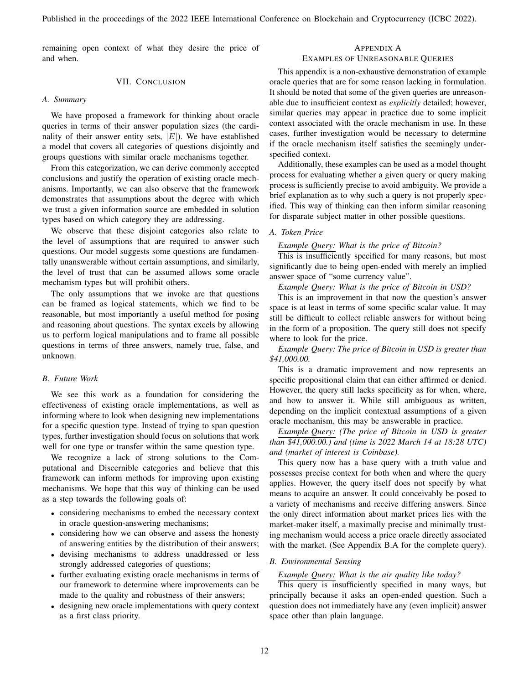remaining open context of what they desire the price of and when.

# VII. CONCLUSION

## *A. Summary*

We have proposed a framework for thinking about oracle queries in terms of their answer population sizes (the cardinality of their answer entity sets,  $|E|$ ). We have established a model that covers all categories of questions disjointly and groups questions with similar oracle mechanisms together.

From this categorization, we can derive commonly accepted conclusions and justify the operation of existing oracle mechanisms. Importantly, we can also observe that the framework demonstrates that assumptions about the degree with which we trust a given information source are embedded in solution types based on which category they are addressing.

We observe that these disjoint categories also relate to the level of assumptions that are required to answer such questions. Our model suggests some questions are fundamentally unanswerable without certain assumptions, and similarly, the level of trust that can be assumed allows some oracle mechanism types but will prohibit others.

The only assumptions that we invoke are that questions can be framed as logical statements, which we find to be reasonable, but most importantly a useful method for posing and reasoning about questions. The syntax excels by allowing us to perform logical manipulations and to frame all possible questions in terms of three answers, namely true, false, and unknown.

# *B. Future Work*

We see this work as a foundation for considering the effectiveness of existing oracle implementations, as well as informing where to look when designing new implementations for a specific question type. Instead of trying to span question types, further investigation should focus on solutions that work well for one type or transfer within the same question type.

We recognize a lack of strong solutions to the Computational and Discernible categories and believe that this framework can inform methods for improving upon existing mechanisms. We hope that this way of thinking can be used as a step towards the following goals of:

- considering mechanisms to embed the necessary context in oracle question-answering mechanisms;
- considering how we can observe and assess the honesty of answering entities by the distribution of their answers;
- devising mechanisms to address unaddressed or less strongly addressed categories of questions;
- further evaluating existing oracle mechanisms in terms of our framework to determine where improvements can be made to the quality and robustness of their answers;
- designing new oracle implementations with query context as a first class priority.

# APPENDIX A EXAMPLES OF UNREASONABLE QUERIES

This appendix is a non-exhaustive demonstration of example oracle queries that are for some reason lacking in formulation. It should be noted that some of the given queries are unreasonable due to insufficient context as *explicitly* detailed; however, similar queries may appear in practice due to some implicit context associated with the oracle mechanism in use. In these cases, further investigation would be necessary to determine if the oracle mechanism itself satisfies the seemingly underspecified context.

Additionally, these examples can be used as a model thought process for evaluating whether a given query or query making process is sufficiently precise to avoid ambiguity. We provide a brief explanation as to why such a query is not properly specified. This way of thinking can then inform similar reasoning for disparate subject matter in other possible questions.

## *A. Token Price*

#### *Example Query: What is the price of Bitcoin?*

This is insufficiently specified for many reasons, but most significantly due to being open-ended with merely an implied answer space of "some currency value".

*Example Query: What is the price of Bitcoin in USD?*

This is an improvement in that now the question's answer space is at least in terms of some specific scalar value. It may still be difficult to collect reliable answers for without being in the form of a proposition. The query still does not specify where to look for the price.

*Example Query: The price of Bitcoin in USD is greater than \$41,000.00.*

This is a dramatic improvement and now represents an specific propositional claim that can either affirmed or denied. However, the query still lacks specificity as for when, where, and how to answer it. While still ambiguous as written, depending on the implicit contextual assumptions of a given oracle mechanism, this may be answerable in practice.

*Example Query: (The price of Bitcoin in USD is greater than \$41,000.00.) and (time is 2022 March 14 at 18:28 UTC) and (market of interest is Coinbase).*

This query now has a base query with a truth value and possesses precise context for both when and where the query applies. However, the query itself does not specify by what means to acquire an answer. It could conceivably be posed to a variety of mechanisms and receive differing answers. Since the only direct information about market prices lies with the market-maker itself, a maximally precise and minimally trusting mechanism would access a price oracle directly associated with the market. (See Appendix B.A for the complete query).

# *B. Environmental Sensing*

## *Example Query: What is the air quality like today?*

This query is insufficiently specified in many ways, but principally because it asks an open-ended question. Such a question does not immediately have any (even implicit) answer space other than plain language.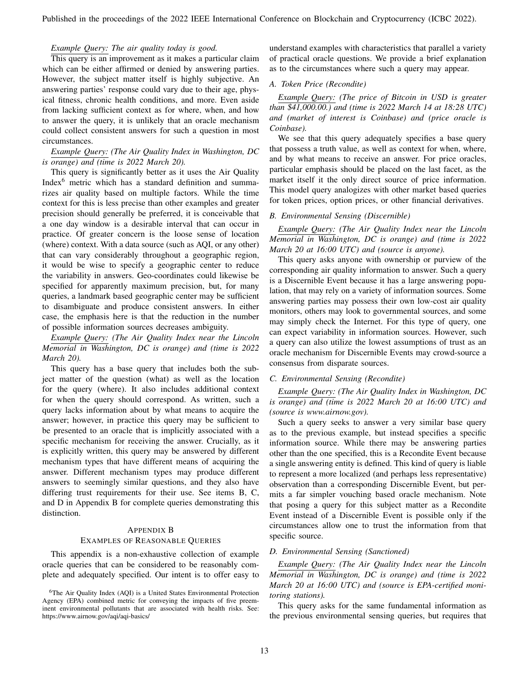Published in the proceedings of the 2022 IEEE International Conference on Blockchain and Cryptocurrency (ICBC 2022).

## *Example Query: The air quality today is good.*

This query is an improvement as it makes a particular claim which can be either affirmed or denied by answering parties. However, the subject matter itself is highly subjective. An answering parties' response could vary due to their age, physical fitness, chronic health conditions, and more. Even aside from lacking sufficient context as for where, when, and how to answer the query, it is unlikely that an oracle mechanism could collect consistent answers for such a question in most circumstances.

# *Example Query: (The Air Quality Index in Washington, DC is orange) and (time is 2022 March 20).*

This query is significantly better as it uses the Air Quality Index<sup>6</sup> metric which has a standard definition and summarizes air quality based on multiple factors. While the time context for this is less precise than other examples and greater precision should generally be preferred, it is conceivable that a one day window is a desirable interval that can occur in practice. Of greater concern is the loose sense of location (where) context. With a data source (such as AQI, or any other) that can vary considerably throughout a geographic region, it would be wise to specify a geographic center to reduce the variability in answers. Geo-coordinates could likewise be specified for apparently maximum precision, but, for many queries, a landmark based geographic center may be sufficient to disambiguate and produce consistent answers. In either case, the emphasis here is that the reduction in the number of possible information sources decreases ambiguity.

*Example Query: (The Air Quality Index near the Lincoln Memorial in Washington, DC is orange) and (time is 2022 March 20).*

This query has a base query that includes both the subject matter of the question (what) as well as the location for the query (where). It also includes additional context for when the query should correspond. As written, such a query lacks information about by what means to acquire the answer; however, in practice this query may be sufficient to be presented to an oracle that is implicitly associated with a specific mechanism for receiving the answer. Crucially, as it is explicitly written, this query may be answered by different mechanism types that have different means of acquiring the answer. Different mechanism types may produce different answers to seemingly similar questions, and they also have differing trust requirements for their use. See items B, C, and D in Appendix B for complete queries demonstrating this distinction.

#### APPENDIX B

# EXAMPLES OF REASONABLE QUERIES

This appendix is a non-exhaustive collection of example oracle queries that can be considered to be reasonably complete and adequately specified. Our intent is to offer easy to

<sup>6</sup>The Air Quality Index (AQI) is a United States Environmental Protection Agency (EPA) combined metric for conveying the impacts of five preeminent environmental pollutants that are associated with health risks. See: https://www.airnow.gov/aqi/aqi-basics/

understand examples with characteristics that parallel a variety of practical oracle questions. We provide a brief explanation as to the circumstances where such a query may appear.

## *A. Token Price (Recondite)*

*Example Query: (The price of Bitcoin in USD is greater than \$41,000.00.) and (time is 2022 March 14 at 18:28 UTC) and (market of interest is Coinbase) and (price oracle is Coinbase).*

We see that this query adequately specifies a base query that possess a truth value, as well as context for when, where, and by what means to receive an answer. For price oracles, particular emphasis should be placed on the last facet, as the market itself it the only direct source of price information. This model query analogizes with other market based queries for token prices, option prices, or other financial derivatives.

#### *B. Environmental Sensing (Discernible)*

*Example Query: (The Air Quality Index near the Lincoln Memorial in Washington, DC is orange) and (time is 2022 March 20 at 16:00 UTC) and (source is anyone).*

This query asks anyone with ownership or purview of the corresponding air quality information to answer. Such a query is a Discernible Event because it has a large answering population, that may rely on a variety of information sources. Some answering parties may possess their own low-cost air quality monitors, others may look to governmental sources, and some may simply check the Internet. For this type of query, one can expect variability in information sources. However, such a query can also utilize the lowest assumptions of trust as an oracle mechanism for Discernible Events may crowd-source a consensus from disparate sources.

# *C. Environmental Sensing (Recondite)*

*Example Query: (The Air Quality Index in Washington, DC is orange) and (time is 2022 March 20 at 16:00 UTC) and (source is www.airnow.gov).*

Such a query seeks to answer a very similar base query as to the previous example, but instead specifies a specific information source. While there may be answering parties other than the one specified, this is a Recondite Event because a single answering entity is defined. This kind of query is liable to represent a more localized (and perhaps less representative) observation than a corresponding Discernible Event, but permits a far simpler vouching based oracle mechanism. Note that posing a query for this subject matter as a Recondite Event instead of a Discernible Event is possible only if the circumstances allow one to trust the information from that specific source.

## *D. Environmental Sensing (Sanctioned)*

*Example Query: (The Air Quality Index near the Lincoln Memorial in Washington, DC is orange) and (time is 2022 March 20 at 16:00 UTC) and (source is EPA-certified monitoring stations).*

This query asks for the same fundamental information as the previous environmental sensing queries, but requires that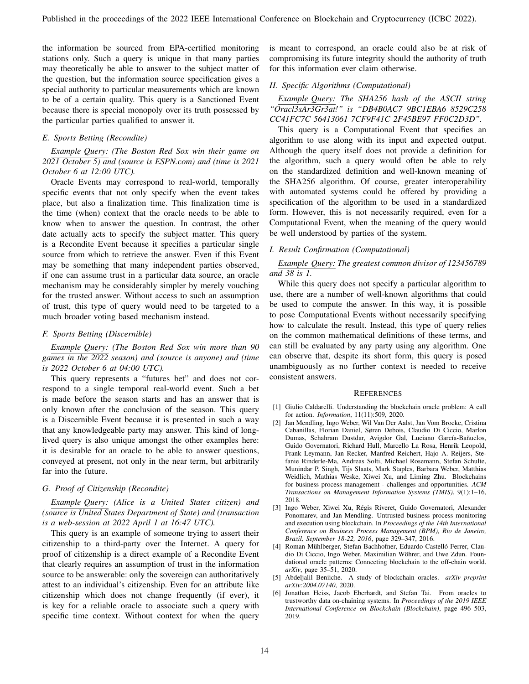the information be sourced from EPA-certified monitoring stations only. Such a query is unique in that many parties may theoretically be able to answer to the subject matter of the question, but the information source specification gives a special authority to particular measurements which are known to be of a certain quality. This query is a Sanctioned Event because there is special monopoly over its truth possessed by the particular parties qualified to answer it.

# *E. Sports Betting (Recondite)*

*Example Query: (The Boston Red Sox win their game on 2021 October 5) and (source is ESPN.com) and (time is 2021 October 6 at 12:00 UTC).*

Oracle Events may correspond to real-world, temporally specific events that not only specify when the event takes place, but also a finalization time. This finalization time is the time (when) context that the oracle needs to be able to know when to answer the question. In contrast, the other date actually acts to specify the subject matter. This query is a Recondite Event because it specifies a particular single source from which to retrieve the answer. Even if this Event may be something that many independent parties observed, if one can assume trust in a particular data source, an oracle mechanism may be considerably simpler by merely vouching for the trusted answer. Without access to such an assumption of trust, this type of query would need to be targeted to a much broader voting based mechanism instead.

#### *F. Sports Betting (Discernible)*

*Example Query: (The Boston Red Sox win more than 90 games in the 2022 season) and (source is anyone) and (time is 2022 October 6 at 04:00 UTC).*

This query represents a "futures bet" and does not correspond to a single temporal real-world event. Such a bet is made before the season starts and has an answer that is only known after the conclusion of the season. This query is a Discernible Event because it is presented in such a way that any knowledgeable party may answer. This kind of longlived query is also unique amongst the other examples here: it is desirable for an oracle to be able to answer questions, conveyed at present, not only in the near term, but arbitrarily far into the future.

# *G. Proof of Citizenship (Recondite)*

*Example Query: (Alice is a United States citizen) and (source is United States Department of State) and (transaction is a web-session at 2022 April 1 at 16:47 UTC).*

This query is an example of someone trying to assert their citizenship to a third-party over the Internet. A query for proof of citizenship is a direct example of a Recondite Event that clearly requires an assumption of trust in the information source to be answerable: only the sovereign can authoritatively attest to an individual's citizenship. Even for an attribute like citizenship which does not change frequently (if ever), it is key for a reliable oracle to associate such a query with specific time context. Without context for when the query

is meant to correspond, an oracle could also be at risk of compromising its future integrity should the authority of truth for this information ever claim otherwise.

## *H. Specific Algorithms (Computational)*

*Example Query: The SHA256 hash of the ASCII string "Oracl3sAr3Gr3at!" is "DB4B0AC7 9BC1EBA6 8529C258 CC41FC7C 56413061 7CF9F41C 2F45BE97 FF0C2D3D".*

This query is a Computational Event that specifies an algorithm to use along with its input and expected output. Although the query itself does not provide a definition for the algorithm, such a query would often be able to rely on the standardized definition and well-known meaning of the SHA256 algorithm. Of course, greater interoperability with automated systems could be offered by providing a specification of the algorithm to be used in a standardized form. However, this is not necessarily required, even for a Computational Event, when the meaning of the query would be well understood by parties of the system.

#### *I. Result Confirmation (Computational)*

*Example Query: The greatest common divisor of 123456789 and 38 is 1.*

While this query does not specify a particular algorithm to use, there are a number of well-known algorithms that could be used to compute the answer. In this way, it is possible to pose Computational Events without necessarily specifying how to calculate the result. Instead, this type of query relies on the common mathematical definitions of these terms, and can still be evaluated by any party using any algorithm. One can observe that, despite its short form, this query is posed unambiguously as no further context is needed to receive consistent answers.

#### **REFERENCES**

- [1] Giulio Caldarelli. Understanding the blockchain oracle problem: A call for action. *Information*, 11(11):509, 2020.
- [2] Jan Mendling, Ingo Weber, Wil Van Der Aalst, Jan Vom Brocke, Cristina Cabanillas, Florian Daniel, Søren Debois, Claudio Di Ciccio, Marlon Dumas, Schahram Dustdar, Avigdor Gal, Luciano García-Bañuelos, Guido Governatori, Richard Hull, Marcello La Rosa, Henrik Leopold, Frank Leymann, Jan Recker, Manfred Reichert, Hajo A. Reijers, Stefanie Rinderle-Ma, Andreas Solti, Michael Rosemann, Stefan Schulte, Munindar P. Singh, Tijs Slaats, Mark Staples, Barbara Weber, Matthias Weidlich, Mathias Weske, Xiwei Xu, and Liming Zhu. Blockchains for business process management - challenges and opportunities. *ACM Transactions on Management Information Systems (TMIS)*, 9(1):1–16, 2018.
- [3] Ingo Weber, Xiwei Xu, Régis Riveret, Guido Governatori, Alexander Ponomarev, and Jan Mendling. Untrusted business process monitoring and execution using blockchain. In *Proceedings of the 14th International Conference on Business Process Management (BPM), Rio de Janeiro, Brazil, September 18-22, 2016*, page 329–347, 2016.
- [4] Roman Mühlberger, Stefan Bachhofner, Eduardo Castelló Ferrer, Claudio Di Ciccio, Ingo Weber, Maximilian Wöhrer, and Uwe Zdun. Foundational oracle patterns: Connecting blockchain to the off-chain world. *arXiv*, page 35–51, 2020.
- [5] Abdeljalil Beniiche. A study of blockchain oracles. *arXiv preprint arXiv:2004.07140*, 2020.
- [6] Jonathan Heiss, Jacob Eberhardt, and Stefan Tai. From oracles to trustworthy data on-chaining systems. In *Proceedings of the 2019 IEEE International Conference on Blockchain (Blockchain)*, page 496–503, 2019.